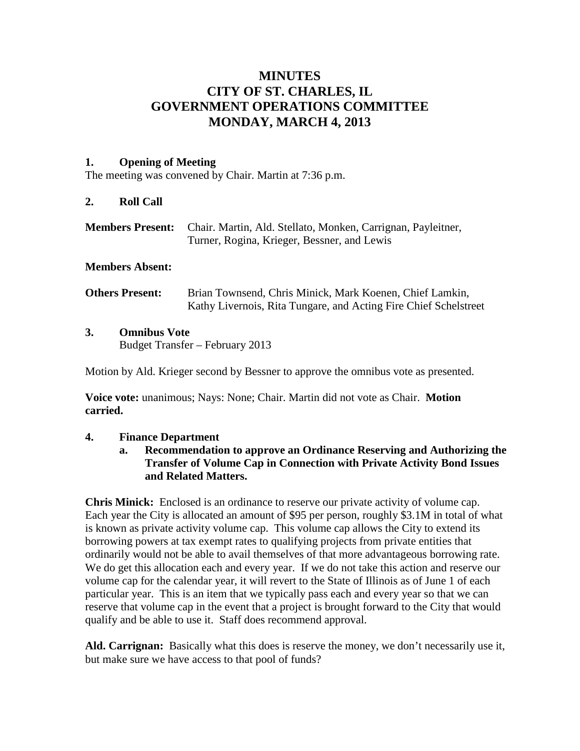# **MINUTES CITY OF ST. CHARLES, IL GOVERNMENT OPERATIONS COMMITTEE MONDAY, MARCH 4, 2013**

### **1. Opening of Meeting**

The meeting was convened by Chair. Martin at 7:36 p.m.

## **2. Roll Call**

**Members Present:** Chair. Martin, Ald. Stellato, Monken, Carrignan, Payleitner, Turner, Rogina, Krieger, Bessner, and Lewis

### **Members Absent:**

**Others Present:** Brian Townsend, Chris Minick, Mark Koenen, Chief Lamkin, Kathy Livernois, Rita Tungare, and Acting Fire Chief Schelstreet

### **3. Omnibus Vote**

Budget Transfer – February 2013

Motion by Ald. Krieger second by Bessner to approve the omnibus vote as presented.

**Voice vote:** unanimous; Nays: None; Chair. Martin did not vote as Chair. **Motion carried.**

#### **4. Finance Department**

**a. Recommendation to approve an Ordinance Reserving and Authorizing the Transfer of Volume Cap in Connection with Private Activity Bond Issues and Related Matters.**

**Chris Minick:** Enclosed is an ordinance to reserve our private activity of volume cap. Each year the City is allocated an amount of \$95 per person, roughly \$3.1M in total of what is known as private activity volume cap. This volume cap allows the City to extend its borrowing powers at tax exempt rates to qualifying projects from private entities that ordinarily would not be able to avail themselves of that more advantageous borrowing rate. We do get this allocation each and every year. If we do not take this action and reserve our volume cap for the calendar year, it will revert to the State of Illinois as of June 1 of each particular year. This is an item that we typically pass each and every year so that we can reserve that volume cap in the event that a project is brought forward to the City that would qualify and be able to use it. Staff does recommend approval.

**Ald. Carrignan:** Basically what this does is reserve the money, we don't necessarily use it, but make sure we have access to that pool of funds?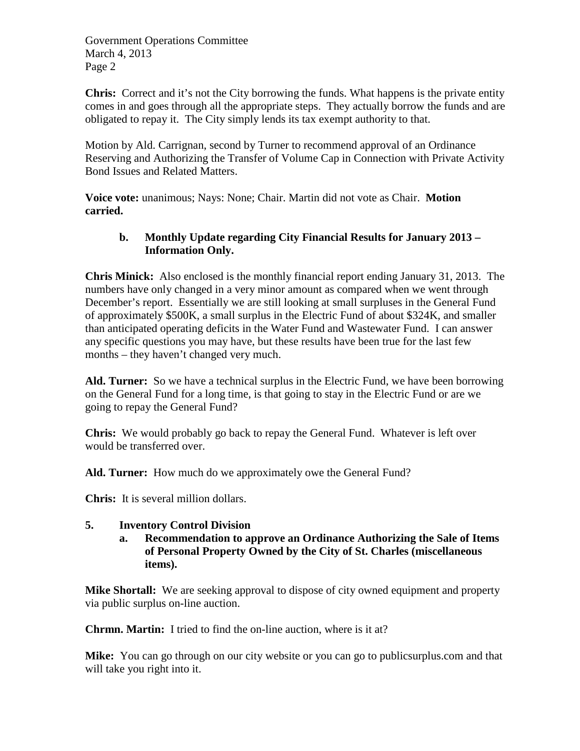Government Operations Committee March 4, 2013 Page 2

**Chris:** Correct and it's not the City borrowing the funds. What happens is the private entity comes in and goes through all the appropriate steps. They actually borrow the funds and are obligated to repay it. The City simply lends its tax exempt authority to that.

Motion by Ald. Carrignan, second by Turner to recommend approval of an Ordinance Reserving and Authorizing the Transfer of Volume Cap in Connection with Private Activity Bond Issues and Related Matters.

**Voice vote:** unanimous; Nays: None; Chair. Martin did not vote as Chair. **Motion carried.**

# **b. Monthly Update regarding City Financial Results for January 2013 – Information Only.**

**Chris Minick:** Also enclosed is the monthly financial report ending January 31, 2013. The numbers have only changed in a very minor amount as compared when we went through December's report. Essentially we are still looking at small surpluses in the General Fund of approximately \$500K, a small surplus in the Electric Fund of about \$324K, and smaller than anticipated operating deficits in the Water Fund and Wastewater Fund. I can answer any specific questions you may have, but these results have been true for the last few months – they haven't changed very much.

**Ald. Turner:** So we have a technical surplus in the Electric Fund, we have been borrowing on the General Fund for a long time, is that going to stay in the Electric Fund or are we going to repay the General Fund?

**Chris:** We would probably go back to repay the General Fund. Whatever is left over would be transferred over.

**Ald. Turner:** How much do we approximately owe the General Fund?

**Chris:** It is several million dollars.

# **5. Inventory Control Division**

**a. Recommendation to approve an Ordinance Authorizing the Sale of Items of Personal Property Owned by the City of St. Charles (miscellaneous items).**

**Mike Shortall:** We are seeking approval to dispose of city owned equipment and property via public surplus on-line auction.

**Chrmn. Martin:** I tried to find the on-line auction, where is it at?

**Mike:** You can go through on our city website or you can go to publicsurplus.com and that will take you right into it.